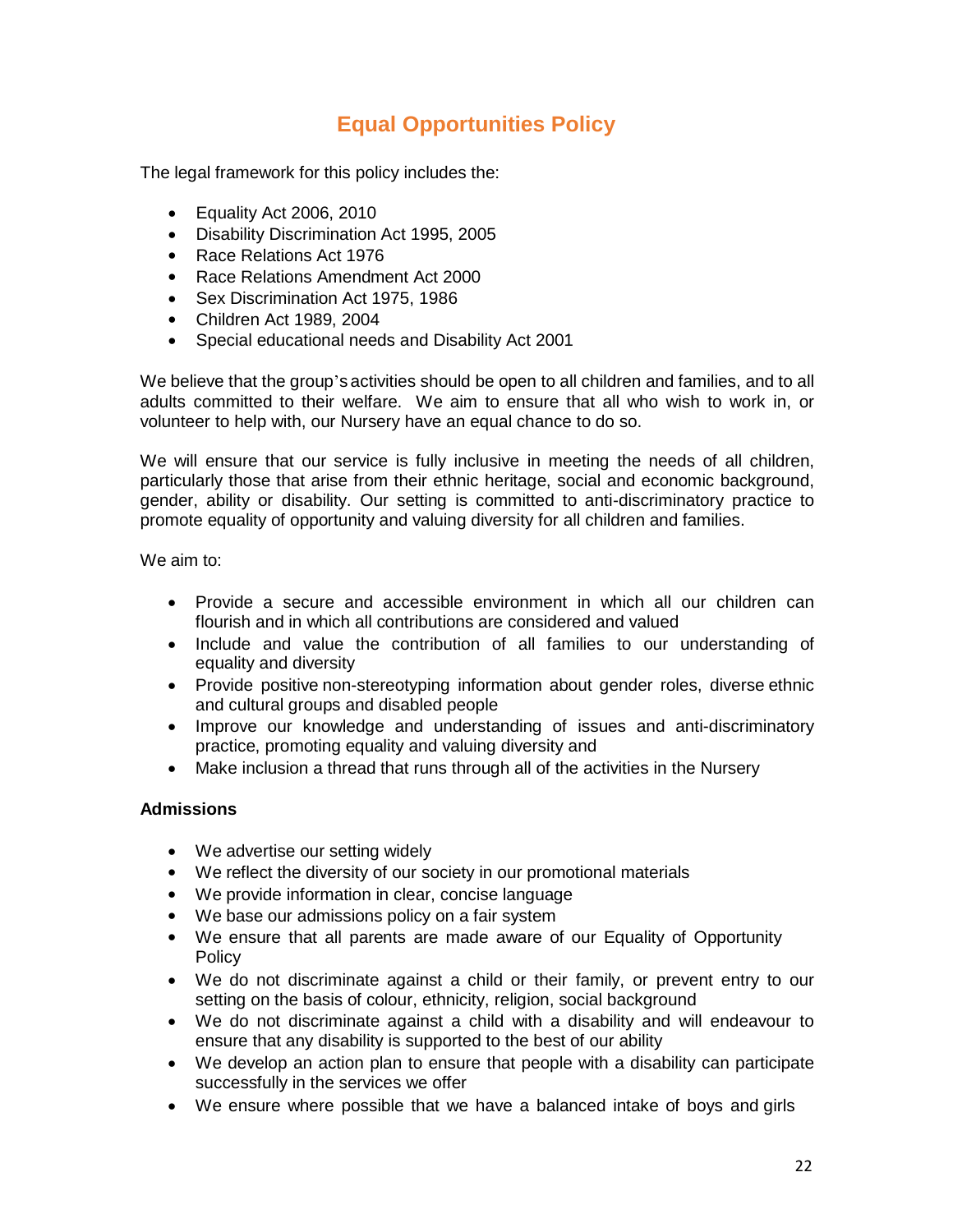# **Equal Opportunities Policy**

The legal framework for this policy includes the:

- Equality Act 2006, 2010
- Disability Discrimination Act 1995, 2005
- Race Relations Act 1976
- Race Relations Amendment Act 2000
- Sex Discrimination Act 1975, 1986
- Children Act 1989, 2004
- Special educational needs and Disability Act 2001

We believe that the group's activities should be open to all children and families, and to all adults committed to their welfare. We aim to ensure that all who wish to work in, or volunteer to help with, our Nursery have an equal chance to do so.

We will ensure that our service is fully inclusive in meeting the needs of all children, particularly those that arise from their ethnic heritage, social and economic background, gender, ability or disability. Our setting is committed to anti-discriminatory practice to promote equality of opportunity and valuing diversity for all children and families.

We aim to:

- Provide a secure and accessible environment in which all our children can flourish and in which all contributions are considered and valued
- Include and value the contribution of all families to our understanding of equality and diversity
- Provide positive non-stereotyping information about gender roles, diverse ethnic and cultural groups and disabled people
- Improve our knowledge and understanding of issues and anti-discriminatory practice, promoting equality and valuing diversity and
- Make inclusion a thread that runs through all of the activities in the Nursery

# **Admissions**

- We advertise our setting widely
- We reflect the diversity of our society in our promotional materials
- We provide information in clear, concise language
- We base our admissions policy on a fair system
- We ensure that all parents are made aware of our Equality of Opportunity Policy
- We do not discriminate against a child or their family, or prevent entry to our setting on the basis of colour, ethnicity, religion, social background
- We do not discriminate against a child with a disability and will endeavour to ensure that any disability is supported to the best of our ability
- We develop an action plan to ensure that people with a disability can participate successfully in the services we offer
- We ensure where possible that we have a balanced intake of boys and girls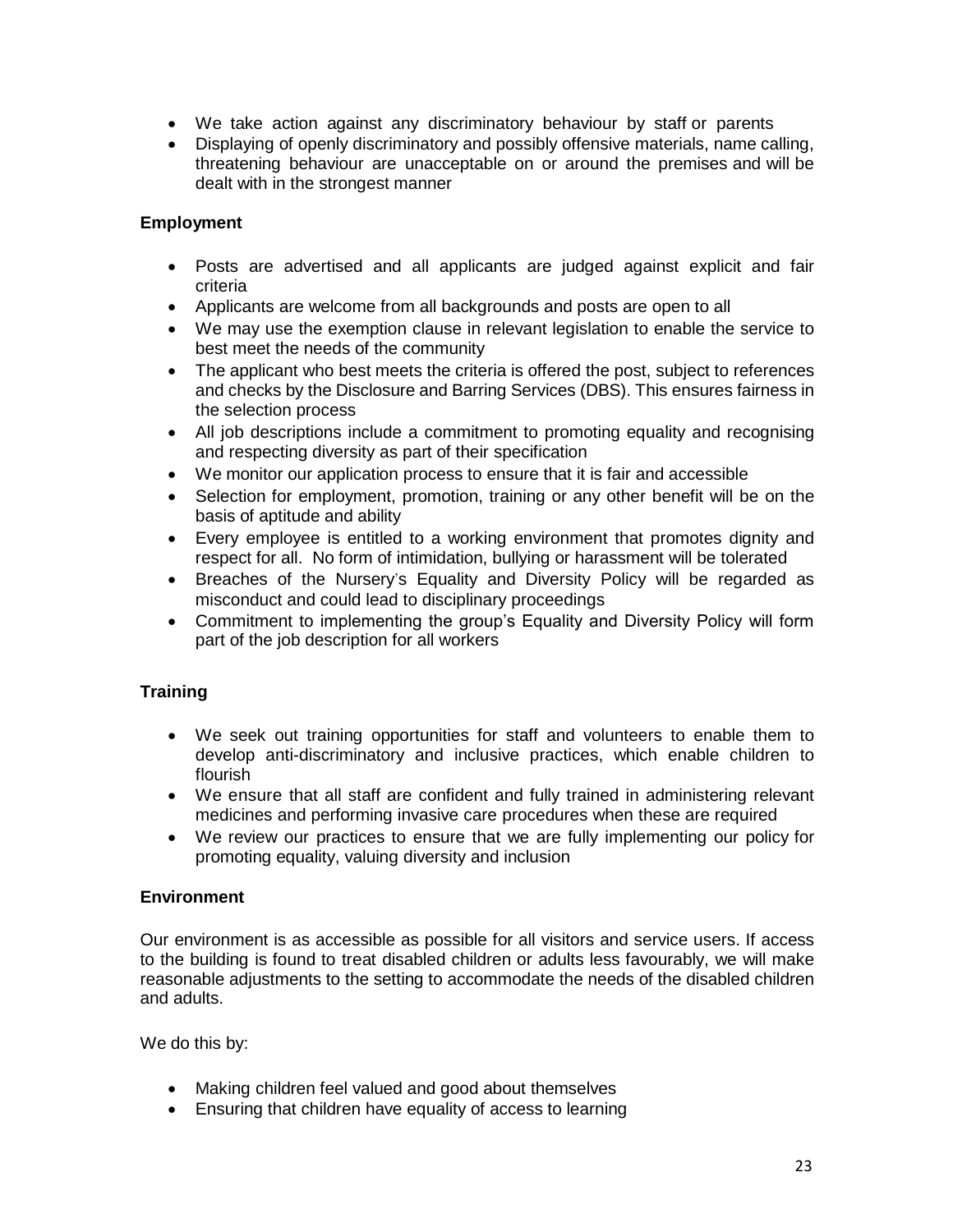- We take action against any discriminatory behaviour by staff or parents
- Displaying of openly discriminatory and possibly offensive materials, name calling, threatening behaviour are unacceptable on or around the premises and will be dealt with in the strongest manner

# **Employment**

- Posts are advertised and all applicants are judged against explicit and fair criteria
- Applicants are welcome from all backgrounds and posts are open to all
- We may use the exemption clause in relevant legislation to enable the service to best meet the needs of the community
- The applicant who best meets the criteria is offered the post, subject to references and checks by the Disclosure and Barring Services (DBS). This ensures fairness in the selection process
- All job descriptions include a commitment to promoting equality and recognising and respecting diversity as part of their specification
- We monitor our application process to ensure that it is fair and accessible
- Selection for employment, promotion, training or any other benefit will be on the basis of aptitude and ability
- Every employee is entitled to a working environment that promotes dignity and respect for all. No form of intimidation, bullying or harassment will be tolerated
- Breaches of the Nursery's Equality and Diversity Policy will be regarded as misconduct and could lead to disciplinary proceedings
- Commitment to implementing the group's Equality and Diversity Policy will form part of the job description for all workers

# **Training**

- We seek out training opportunities for staff and volunteers to enable them to develop anti-discriminatory and inclusive practices, which enable children to flourish
- We ensure that all staff are confident and fully trained in administering relevant medicines and performing invasive care procedures when these are required
- We review our practices to ensure that we are fully implementing our policy for promoting equality, valuing diversity and inclusion

### **Environment**

Our environment is as accessible as possible for all visitors and service users. If access to the building is found to treat disabled children or adults less favourably, we will make reasonable adjustments to the setting to accommodate the needs of the disabled children and adults.

We do this by:

- Making children feel valued and good about themselves
- Ensuring that children have equality of access to learning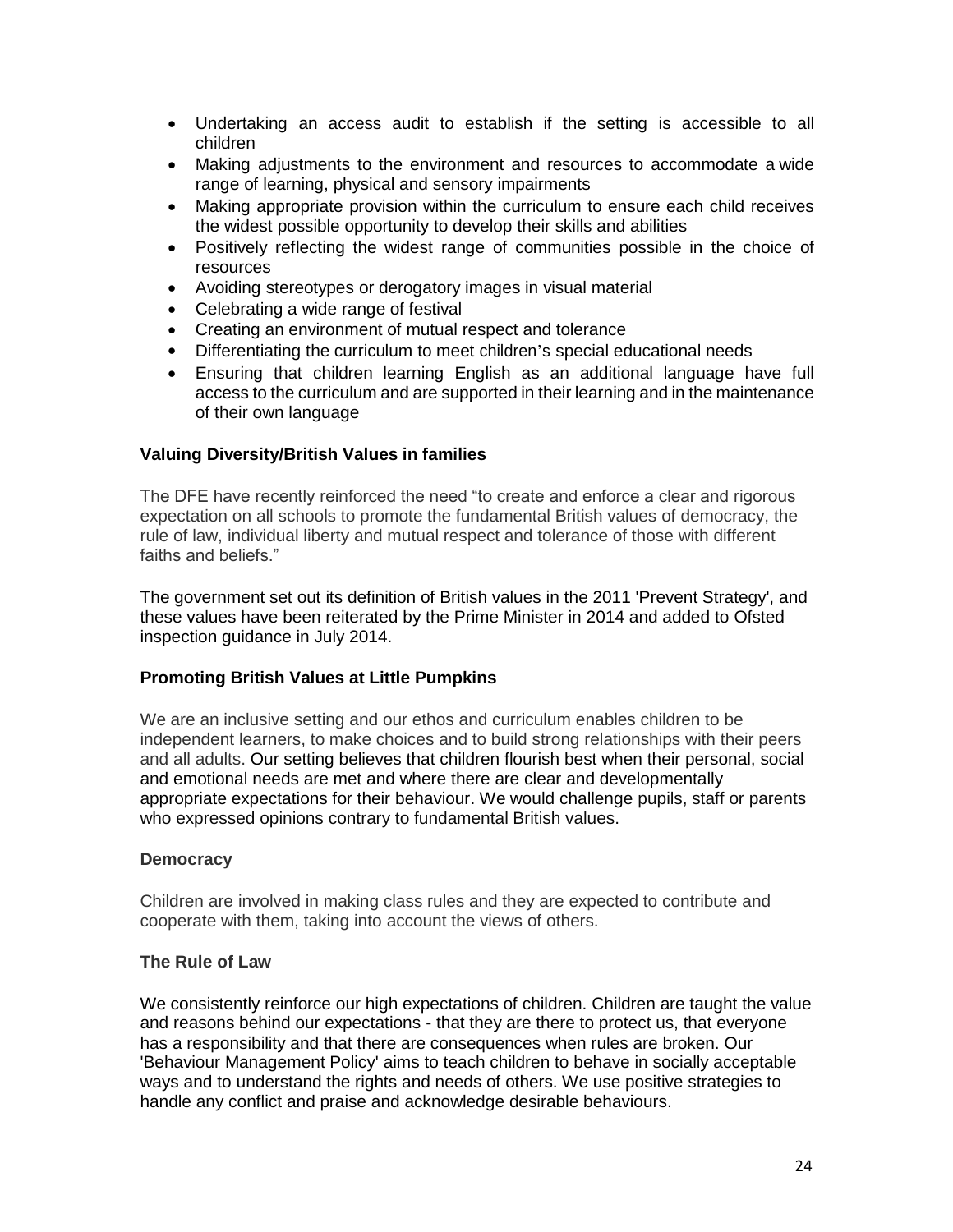- Undertaking an access audit to establish if the setting is accessible to all children
- Making adjustments to the environment and resources to accommodate a wide range of learning, physical and sensory impairments
- Making appropriate provision within the curriculum to ensure each child receives the widest possible opportunity to develop their skills and abilities
- Positively reflecting the widest range of communities possible in the choice of resources
- Avoiding stereotypes or derogatory images in visual material
- Celebrating a wide range of festival
- Creating an environment of mutual respect and tolerance
- Differentiating the curriculum to meet children's special educational needs
- Ensuring that children learning English as an additional language have full access to the curriculum and are supported in their learning and in the maintenance of their own language

### **Valuing Diversity/British Values in families**

The DFE have recently reinforced the need "to create and enforce a clear and rigorous expectation on all schools to promote the fundamental British values of democracy, the rule of law, individual liberty and mutual respect and tolerance of those with different faiths and beliefs."

The government set out its definition of British values in the 2011 'Prevent Strategy', and these values have been reiterated by the Prime Minister in 2014 and added to Ofsted inspection guidance in July 2014.

#### **Promoting British Values at Little Pumpkins**

We are an inclusive setting and our ethos and curriculum enables children to be independent learners, to make choices and to build strong relationships with their peers and all adults. Our setting believes that children flourish best when their personal, social and emotional needs are met and where there are clear and developmentally appropriate expectations for their behaviour. We would challenge pupils, staff or parents who expressed opinions contrary to fundamental British values.

#### **Democracy**

Children are involved in making class rules and they are expected to contribute and cooperate with them, taking into account the views of others.

#### **The Rule of Law**

We consistently reinforce our high expectations of children. Children are taught the value and reasons behind our expectations - that they are there to protect us, that everyone has a responsibility and that there are consequences when rules are broken. Our 'Behaviour Management Policy' aims to teach children to behave in socially acceptable ways and to understand the rights and needs of others. We use positive strategies to handle any conflict and praise and acknowledge desirable behaviours.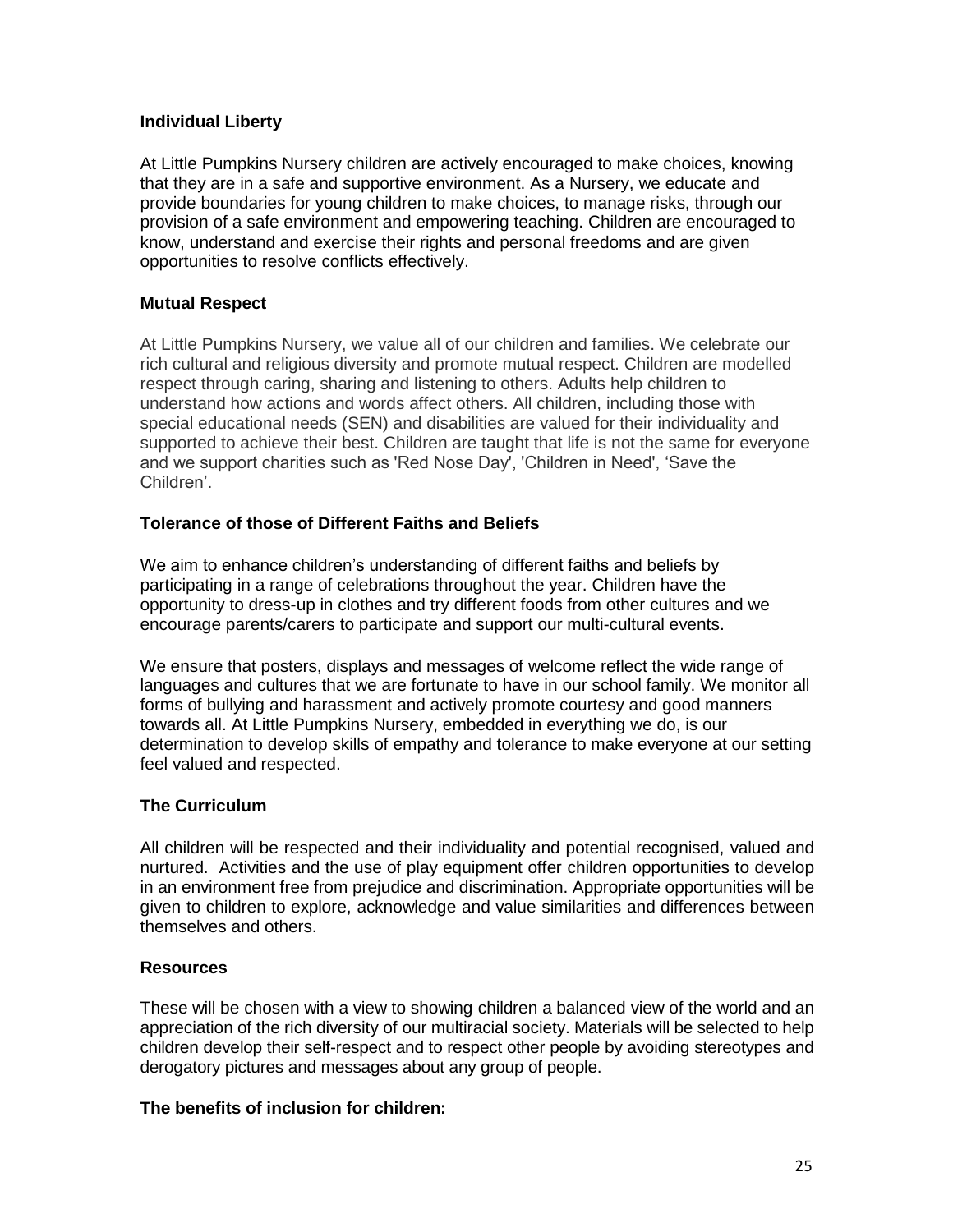### **Individual Liberty**

At Little Pumpkins Nursery children are actively encouraged to make choices, knowing that they are in a safe and supportive environment. As a Nursery, we educate and provide boundaries for young children to make choices, to manage risks, through our provision of a safe environment and empowering teaching. Children are encouraged to know, understand and exercise their rights and personal freedoms and are given opportunities to resolve conflicts effectively.

# **Mutual Respect**

At Little Pumpkins Nursery, we value all of our children and families. We celebrate our rich cultural and religious diversity and promote mutual respect. Children are modelled respect through caring, sharing and listening to others. Adults help children to understand how actions and words affect others. All children, including those with special educational needs (SEN) and disabilities are valued for their individuality and supported to achieve their best. Children are taught that life is not the same for everyone and we support charities such as 'Red Nose Day', 'Children in Need', 'Save the Children'.

# **Tolerance of those of Different Faiths and Beliefs**

We aim to enhance children's understanding of different faiths and beliefs by participating in a range of celebrations throughout the year. Children have the opportunity to dress-up in clothes and try different foods from other cultures and we encourage parents/carers to participate and support our multi-cultural events.

We ensure that posters, displays and messages of welcome reflect the wide range of languages and cultures that we are fortunate to have in our school family. We monitor all forms of bullying and harassment and actively promote courtesy and good manners towards all. At Little Pumpkins Nursery, embedded in everything we do, is our determination to develop skills of empathy and tolerance to make everyone at our setting feel valued and respected.

# **The Curriculum**

All children will be respected and their individuality and potential recognised, valued and nurtured. Activities and the use of play equipment offer children opportunities to develop in an environment free from prejudice and discrimination. Appropriate opportunities will be given to children to explore, acknowledge and value similarities and differences between themselves and others.

### **Resources**

These will be chosen with a view to showing children a balanced view of the world and an appreciation of the rich diversity of our multiracial society. Materials will be selected to help children develop their self-respect and to respect other people by avoiding stereotypes and derogatory pictures and messages about any group of people.

### **The benefits of inclusion for children:**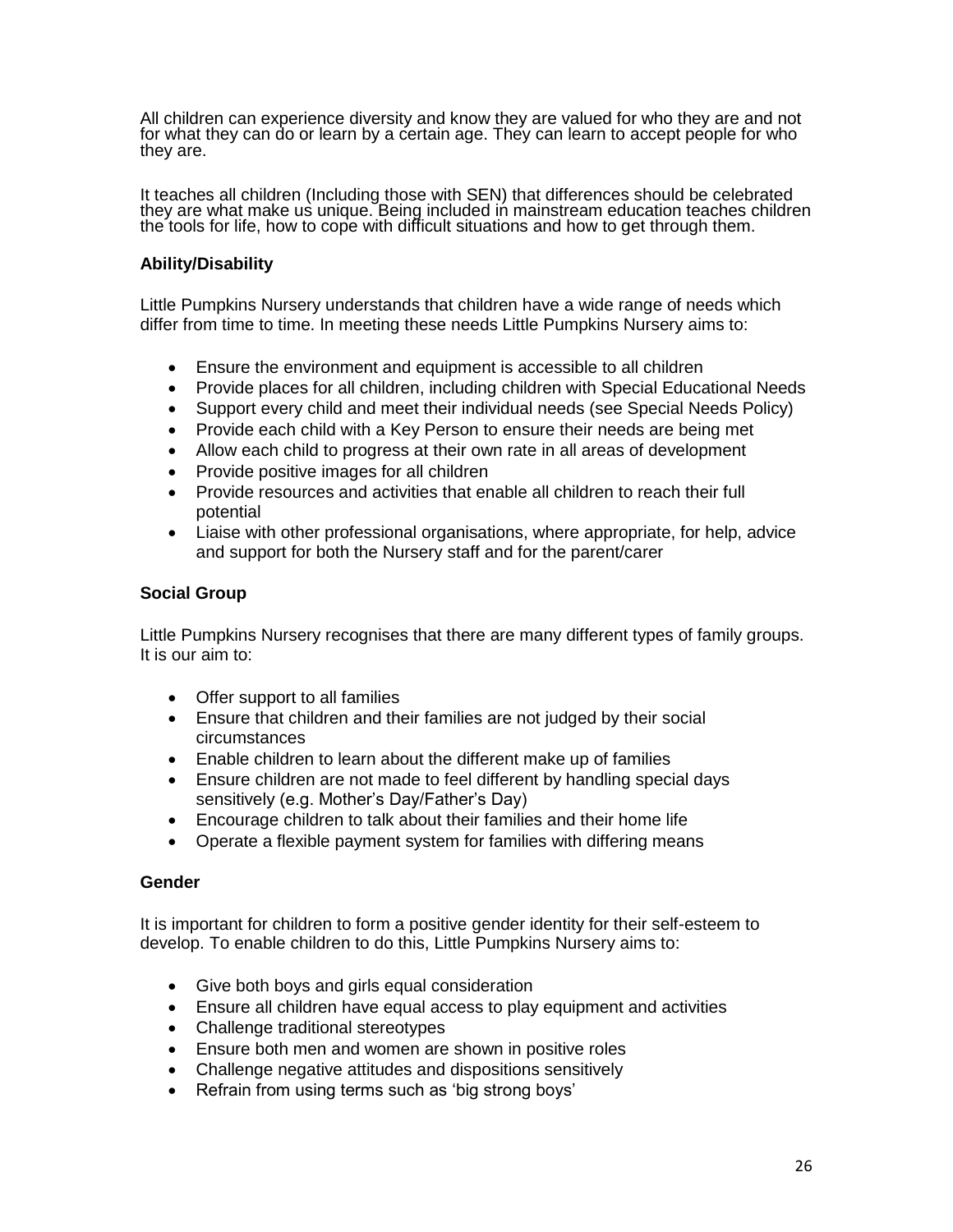All children can experience diversity and know they are valued for who they are and not for what they can do or learn by a certain age. They can learn to accept people for who they are.

It teaches all children (Including those with SEN) that differences should be celebrated they are what make us unique. Being included in mainstream education teaches children the tools for life, how to cope with difficult situations and how to get through them.

### **Ability/Disability**

Little Pumpkins Nursery understands that children have a wide range of needs which differ from time to time. In meeting these needs Little Pumpkins Nursery aims to:

- Ensure the environment and equipment is accessible to all children
- Provide places for all children, including children with Special Educational Needs
- Support every child and meet their individual needs (see Special Needs Policy)
- Provide each child with a Key Person to ensure their needs are being met
- Allow each child to progress at their own rate in all areas of development
- Provide positive images for all children
- Provide resources and activities that enable all children to reach their full potential
- Liaise with other professional organisations, where appropriate, for help, advice and support for both the Nursery staff and for the parent/carer

### **Social Group**

Little Pumpkins Nursery recognises that there are many different types of family groups. It is our aim to:

- Offer support to all families
- Ensure that children and their families are not judged by their social circumstances
- Enable children to learn about the different make up of families
- Ensure children are not made to feel different by handling special days sensitively (e.g. Mother's Day/Father's Day)
- Encourage children to talk about their families and their home life
- Operate a flexible payment system for families with differing means

#### **Gender**

It is important for children to form a positive gender identity for their self-esteem to develop. To enable children to do this, Little Pumpkins Nursery aims to:

- Give both boys and girls equal consideration
- Ensure all children have equal access to play equipment and activities
- Challenge traditional stereotypes
- Ensure both men and women are shown in positive roles
- Challenge negative attitudes and dispositions sensitively
- Refrain from using terms such as 'big strong boys'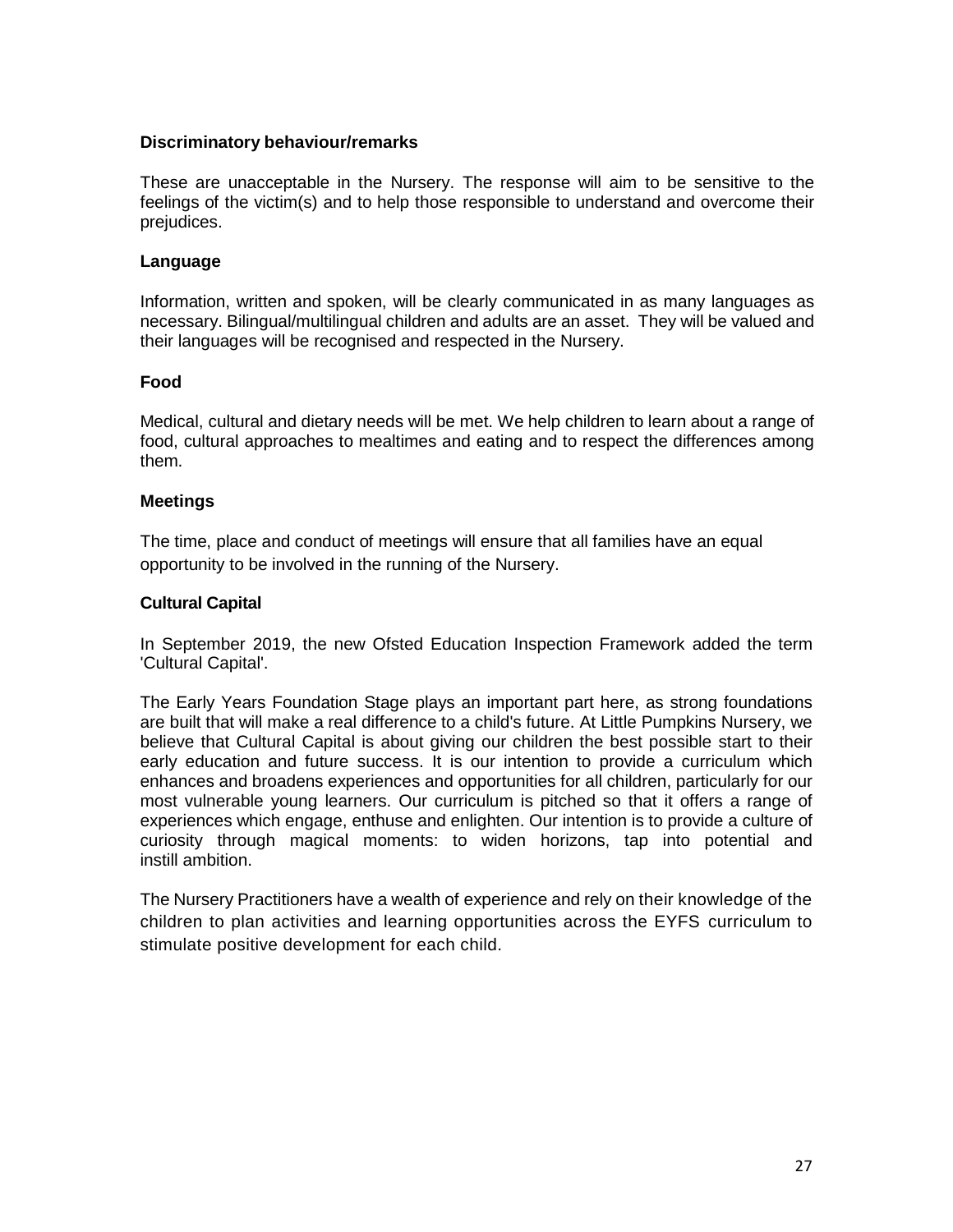### **Discriminatory behaviour/remarks**

These are unacceptable in the Nursery. The response will aim to be sensitive to the feelings of the victim(s) and to help those responsible to understand and overcome their prejudices.

### **Language**

Information, written and spoken, will be clearly communicated in as many languages as necessary. Bilingual/multilingual children and adults are an asset. They will be valued and their languages will be recognised and respected in the Nursery.

### **Food**

Medical, cultural and dietary needs will be met. We help children to learn about a range of food, cultural approaches to mealtimes and eating and to respect the differences among them.

### **Meetings**

The time, place and conduct of meetings will ensure that all families have an equal opportunity to be involved in the running of the Nursery.

### **Cultural Capital**

In September 2019, the new Ofsted Education Inspection Framework added the term 'Cultural Capital'.

The Early Years Foundation Stage plays an important part here, as strong foundations are built that will make a real difference to a child's future. At Little Pumpkins Nursery, we believe that Cultural Capital is about giving our children the best possible start to their early education and future success. It is our intention to provide a curriculum which enhances and broadens experiences and opportunities for all children, particularly for our most vulnerable young learners. Our curriculum is pitched so that it offers a range of experiences which engage, enthuse and enlighten. Our intention is to provide a culture of curiosity through magical moments: to widen horizons, tap into potential and instill ambition.

The Nursery Practitioners have a wealth of experience and rely on their knowledge of the children to plan activities and learning opportunities across the EYFS curriculum to stimulate positive development for each child.